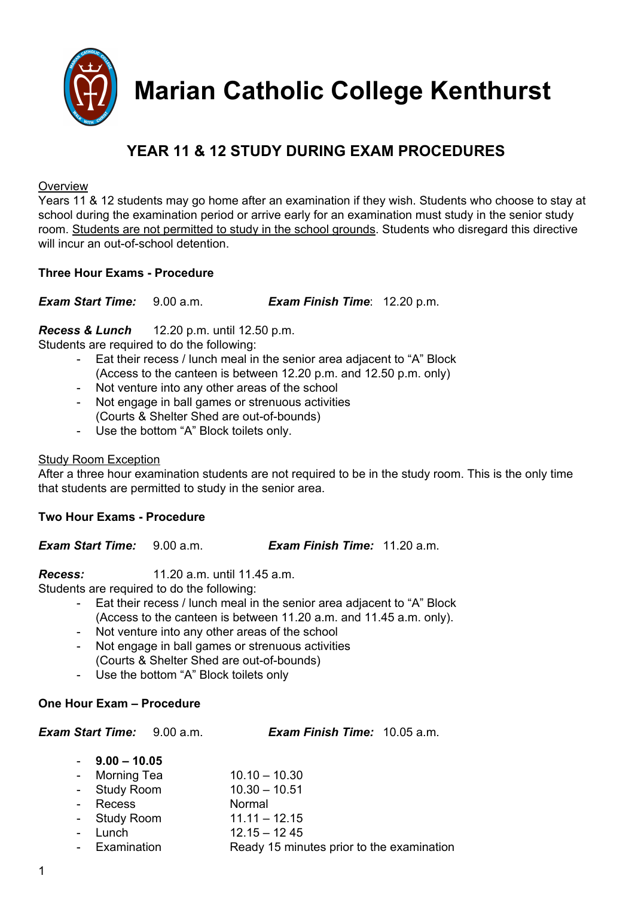

**Marian Catholic College Kenthurst**

# **YEAR 11 & 12 STUDY DURING EXAM PROCEDURES**

#### **Overview**

Years 11 & 12 students may go home after an examination if they wish. Students who choose to stay at school during the examination period or arrive early for an examination must study in the senior study room. Students are not permitted to study in the school grounds. Students who disregard this directive will incur an out-of-school detention

## **Three Hour Exams Procedure**

*Exam Start Time:* 9.00 a.m. *Exam Finish Time*: 12.20 p.m.

## *Recess & Lunch* 12.20 p.m. until 12.50 p.m.

Students are required to do the following:

- Eat their recess / lunch meal in the senior area adjacent to "A" Block (Access to the canteen is between 12.20 p.m. and 12.50 p.m. only)
- Not venture into any other areas of the school
- Not engage in ball games or strenuous activities (Courts & Shelter Shed are out-of-bounds)
- Use the bottom "A" Block toilets only.

## Study Room Exception

After a three hour examination students are not required to be in the study room. This is the only time that students are permitted to study in the senior area.

## **Two Hour Exams Procedure**

*Exam Start Time:* 9.00 a.m. *Exam Finish Time:* 11.20 a.m.

*Recess:* 11.20 a.m. until 11.45 a.m.

Students are required to do the following:

- Eat their recess / lunch meal in the senior area adjacent to "A" Block (Access to the canteen is between 11.20 a.m. and 11.45 a.m. only).
- Not venture into any other areas of the school
- Not engage in ball games or strenuous activities (Courts & Shelter Shed are out-of-bounds)
- Use the bottom "A" Block toilets only

## **One Hour Exam – Procedure**

*Exam Start Time:* 9.00 a.m. *Exam Finish Time:* 10.05 a.m.

| $9.00 - 10.05$ |
|----------------|
|----------------|

- Morning Tea 10.10 10.30
- Study Room 10.30 10.51
- Recess Normal
- Study Room 11.11 12.15
- Lunch 12.15 12.45
- Examination Ready 15 minutes prior to the examination